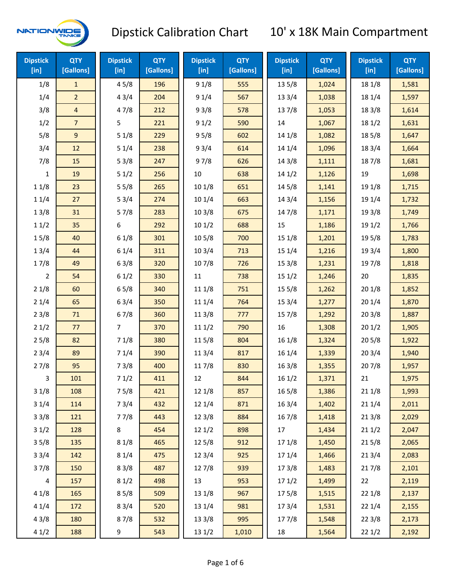

| <b>Dipstick</b><br>[in] | <b>QTY</b><br>[Gallons] | <b>Dipstick</b><br>[in] | <b>QTY</b><br>[Gallons] | <b>Dipstick</b><br>[in] | <b>QTY</b><br>[Gallons] | <b>Dipstick</b><br>[in] | <b>QTY</b><br>[Gallons] | <b>Dipstick</b><br>$[$ in] | <b>QTY</b><br>[Gallons] |
|-------------------------|-------------------------|-------------------------|-------------------------|-------------------------|-------------------------|-------------------------|-------------------------|----------------------------|-------------------------|
| 1/8                     | $\mathbf{1}$            | 45/8                    | 196                     | 91/8                    | 555                     | 13 5/8                  | 1,024                   | 18 1/8                     | 1,581                   |
| 1/4                     | $\overline{2}$          | 43/4                    | 204                     | 91/4                    | 567                     | 13 3/4                  | 1,038                   | 18 1/4                     | 1,597                   |
| 3/8                     | 4                       | 47/8                    | 212                     | 93/8                    | 578                     | 137/8                   | 1,053                   | 18 3/8                     | 1,614                   |
| 1/2                     | $\overline{7}$          | 5                       | 221                     | 91/2                    | 590                     | 14                      | 1,067                   | 18 1/2                     | 1,631                   |
| 5/8                     | $9\,$                   | 51/8                    | 229                     | 95/8                    | 602                     | 14 1/8                  | 1,082                   | 185/8                      | 1,647                   |
| 3/4                     | 12                      | 51/4                    | 238                     | 93/4                    | 614                     | 14 1/4                  | 1,096                   | 18 3/4                     | 1,664                   |
| 7/8                     | 15                      | 53/8                    | 247                     | 97/8                    | 626                     | 14 3/8                  | 1,111                   | 187/8                      | 1,681                   |
| 1                       | 19                      | 51/2                    | 256                     | 10                      | 638                     | 14 1/2                  | 1,126                   | 19                         | 1,698                   |
| 11/8                    | 23                      | 55/8                    | 265                     | 101/8                   | 651                     | 145/8                   | 1,141                   | 19 1/8                     | 1,715                   |
| 11/4                    | 27                      | 53/4                    | 274                     | 101/4                   | 663                     | 143/4                   | 1,156                   | 19 1/4                     | 1,732                   |
| 13/8                    | 31                      | 57/8                    | 283                     | 103/8                   | 675                     | 147/8                   | 1,171                   | 19 3/8                     | 1,749                   |
| 11/2                    | 35                      | 6                       | 292                     | 101/2                   | 688                     | 15                      | 1,186                   | 19 1/2                     | 1,766                   |
| 15/8                    | 40                      | 61/8                    | 301                     | 10 <sub>5/8</sub>       | 700                     | 15 1/8                  | 1,201                   | 19 5/8                     | 1,783                   |
| 13/4                    | 44                      | 61/4                    | 311                     | 103/4                   | 713                     | 151/4                   | 1,216                   | 19 3/4                     | 1,800                   |
| 17/8                    | 49                      | 63/8                    | 320                     | 107/8                   | 726                     | 153/8                   | 1,231                   | 197/8                      | 1,818                   |
| 2                       | 54                      | 61/2                    | 330                     | 11                      | 738                     | 151/2                   | 1,246                   | 20                         | 1,835                   |
| 21/8                    | 60                      | 65/8                    | 340                     | 11 1/8                  | 751                     | 15 5/8                  | 1,262                   | 201/8                      | 1,852                   |
| 21/4                    | 65                      | 63/4                    | 350                     | 11 1/4                  | 764                     | 153/4                   | 1,277                   | 201/4                      | 1,870                   |
| 23/8                    | 71                      | 67/8                    | 360                     | 11 3/8                  | 777                     | 15 7/8                  | 1,292                   | 203/8                      | 1,887                   |
| 21/2                    | 77                      | 7                       | 370                     | 111/2                   | 790                     | 16                      | 1,308                   | 201/2                      | 1,905                   |
| 25/8                    | 82                      | 71/8                    | 380                     | 11 5/8                  | 804                     | 16 1/8                  | 1,324                   | 205/8                      | 1,922                   |
| 23/4                    | 89                      | 71/4                    | 390                     | 113/4                   | 817                     | 16 1/4                  | 1,339                   | 203/4                      | 1,940                   |
| 27/8                    | 95                      | 73/8                    | 400                     | 11 7/8                  | 830                     | 163/8                   | 1,355                   | 207/8                      | 1,957                   |
| 3                       | 101                     | 71/2                    | 411                     | 12                      | 844                     | 16 1/2                  | 1,371                   | 21                         | 1,975                   |
| 31/8                    | 108                     | 75/8                    | 421                     | 12 1/8                  | 857                     | 16 5/8                  | 1,386                   | 211/8                      | 1,993                   |
| 31/4                    | 114                     | 73/4                    | 432                     | 12 1/4                  | 871                     | 16 3/4                  | 1,402                   | 21 1/4                     | 2,011                   |
| 33/8                    | 121                     | 77/8                    | 443                     | 12 3/8                  | 884                     | 16 7/8                  | 1,418                   | 213/8                      | 2,029                   |
| 31/2                    | 128                     | 8                       | 454                     | 121/2                   | 898                     | 17                      | 1,434                   | 211/2                      | 2,047                   |
| 35/8                    | 135                     | 81/8                    | 465                     | 12 5/8                  | 912                     | 17 1/8                  | 1,450                   | 215/8                      | 2,065                   |
| 33/4                    | 142                     | 81/4                    | 475                     | 12 3/4                  | 925                     | 17 1/4                  | 1,466                   | 213/4                      | 2,083                   |
| 37/8                    | 150                     | 83/8                    | 487                     | 127/8                   | 939                     | 173/8                   | 1,483                   | 217/8                      | 2,101                   |
| 4                       | 157                     | 81/2                    | 498                     | 13                      | 953                     | 171/2                   | 1,499                   | 22                         | 2,119                   |
| 41/8                    | 165                     | 85/8                    | 509                     | 13 1/8                  | 967                     | 175/8                   | 1,515                   | 221/8                      | 2,137                   |
| 41/4                    | 172                     | 83/4                    | 520                     | 13 1/4                  | 981                     | 17 3/4                  | 1,531                   | 221/4                      | 2,155                   |
| 43/8                    | 180                     | 87/8                    | 532                     | 13 3/8                  | 995                     | 177/8                   | 1,548                   | 223/8                      | 2,173                   |
| 41/2                    | 188                     | 9                       | 543                     | 13 1/2                  | 1,010                   | 18                      | 1,564                   | 221/2                      | 2,192                   |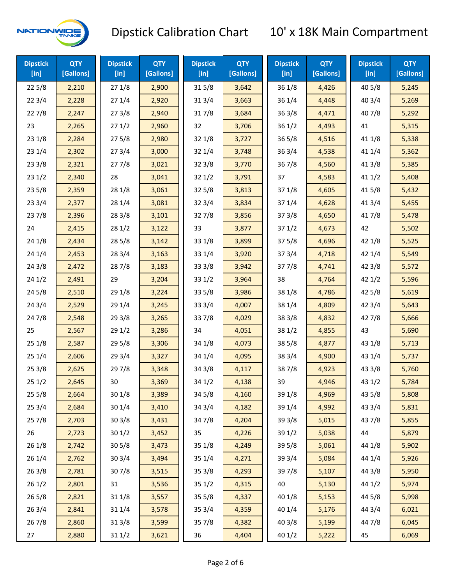

| <b>Dipstick</b><br>$[$ in] | <b>QTY</b><br>[Gallons] | <b>Dipstick</b><br>$[$ in] | <b>QTY</b><br>[Gallons] | <b>Dipstick</b><br>$[$ in] | <b>QTY</b><br>[Gallons] | <b>Dipstick</b><br>[in] | <b>QTY</b><br>[Gallons] | <b>Dipstick</b><br>$[$ in] | <b>QTY</b><br>[Gallons] |
|----------------------------|-------------------------|----------------------------|-------------------------|----------------------------|-------------------------|-------------------------|-------------------------|----------------------------|-------------------------|
| 225/8                      | 2,210                   | 271/8                      | 2,900                   | 315/8                      | 3,642                   | 36 1/8                  | 4,426                   | 40 5/8                     | 5,245                   |
| 223/4                      | 2,228                   | 271/4                      | 2,920                   | 31 3/4                     | 3,663                   | 36 1/4<br>4,448         |                         | 40 3/4                     | 5,269                   |
| 227/8                      | 2,247                   | 273/8                      | 2,940                   | 317/8                      | 3,684                   | 363/8                   | 4,471                   | 407/8                      | 5,292                   |
| 23                         | 2,265                   | 271/2                      | 2,960                   | 32                         | 3,706                   | 361/2                   | 4,493                   | 41                         | 5,315                   |
| 231/8                      | 2,284                   | 275/8                      | 2,980                   | 32 1/8                     | 3,727                   | $36\,5/8$               | 4,516                   | 41 1/8                     | 5,338                   |
| 231/4                      | 2,302                   | 273/4                      | 3,000                   | 321/4                      | 3,748                   | 363/4                   | 4,538                   | 41 1/4                     | 5,362                   |
| 233/8                      | 2,321                   | 277/8                      | 3,021                   | 32 3/8                     | 3,770                   | 367/8                   | 4,560                   | 41 3/8                     | 5,385                   |
| 231/2                      | 2,340                   | 28                         | 3,041                   | 321/2                      | 3,791                   | 37                      | 4,583                   | 411/2                      | 5,408                   |
| 235/8                      | 2,359                   | 28 1/8                     | 3,061                   | 325/8                      | 3,813                   | 37 1/8                  | 4,605                   | 41 5/8                     | 5,432                   |
| 233/4                      | 2,377                   | 28 1/4                     | 3,081                   | 32 3/4                     | 3,834                   | 37 1/4                  | 4,628                   | 41 3/4                     | 5,455                   |
| 237/8                      | 2,396                   | 28 3/8                     | 3,101                   | 327/8                      | 3,856                   | 373/8                   | 4,650                   | 417/8                      | 5,478                   |
| 24                         | 2,415                   | 281/2                      | 3,122                   | 33                         | 3,877                   | 371/2                   | 4,673                   | 42                         | 5,502                   |
| 24 1/8                     | 2,434                   | 28 5/8                     | 3,142                   | 33 1/8                     | 3,899                   | 375/8                   | 4,696                   | 42 1/8                     | 5,525                   |
| 241/4                      | 2,453                   | 28 3/4                     | 3,163                   | 33 1/4                     | 3,920                   | 373/4                   | 4,718                   | 42 1/4                     | 5,549                   |
| 243/8                      | 2,472                   | 287/8                      | 3,183                   | 33 3/8                     | 3,942                   | 377/8                   | 4,741                   | 42 3/8                     | 5,572                   |
| 241/2                      | 2,491                   | 29                         | 3,204                   | 331/2                      | 3,964                   | 38<br>4,764             |                         | 421/2                      | 5,596                   |
| 245/8                      | 2,510                   | 29 1/8                     | 3,224                   | 33 5/8                     | 3,986                   | 38 1/8                  | 4,786                   | 42 5/8                     | 5,619                   |
| 243/4                      | 2,529                   | 29 1/4                     | 3,245                   | 33 3/4                     | 4,007                   | 38 1/4                  | 4,809                   | 42 3/4                     | 5,643                   |
| 24 7/8                     | 2,548                   | 29 3/8                     | 3,265                   | 337/8                      | 4,029                   | 38 3/8                  | 4,832                   | 42 7/8                     | 5,666                   |
| 25                         | 2,567                   | 29 1/2                     | 3,286                   | 34                         | 4,051                   | 38 1/2                  | 4,855                   | 43                         | 5,690                   |
| 251/8                      | 2,587                   | 29 5/8                     | 3,306                   | 34 1/8                     | 4,073                   | 38 5/8                  | 4,877                   | 43 1/8                     | 5,713                   |
| 251/4                      | 2,606                   | 29 3/4                     | 3,327                   | 34 1/4                     | 4,095                   | 38 3/4                  | 4,900                   | 43 1/4                     | 5,737                   |
| 253/8                      | 2,625                   | 297/8                      | 3,348                   | 34 3/8                     | 4,117                   | 387/8                   | 4,923                   | 43 3/8                     | 5,760                   |
| 251/2                      | 2,645                   | 30                         | 3,369                   | 34 1/2                     | 4,138                   | 39                      | 4,946                   | 43 1/2                     | 5,784                   |
| 255/8                      | 2,664                   | 30 1/8                     | 3,389                   | 34 5/8                     | 4,160                   | 39 1/8                  | 4,969                   | 43 5/8                     | 5,808                   |
| 253/4                      | 2,684                   | 301/4                      | 3,410                   | 34 3/4                     | 4,182                   | 39 1/4                  | 4,992                   | 43 3/4                     | 5,831                   |
| 257/8                      | 2,703                   | 30 3/8                     | 3,431                   | 347/8                      | 4,204                   | 39 3/8                  | 5,015                   | 437/8                      | 5,855                   |
| 26                         | 2,723                   | 301/2                      | 3,452                   | 35                         | 4,226                   | 39 1/2                  | 5,038                   | 44                         | 5,879                   |
| 26 1/8                     | 2,742                   | 30 5/8                     | 3,473                   | 35 1/8                     | 4,249                   | 39 5/8                  | 5,061                   | 44 1/8                     | 5,902                   |
| 261/4                      | 2,762                   | 30 3/4                     | 3,494                   | 35 1/4                     | 4,271                   | 39 3/4                  | 5,084                   | 44 1/4                     | 5,926                   |
| 26 3/8                     | 2,781                   | 307/8                      | 3,515                   | 35 3/8                     | 4,293                   | 397/8                   | 5,107                   | 44 3/8                     | 5,950                   |
| 261/2                      | 2,801                   | 31                         | 3,536                   | 35 1/2                     | 4,315                   | 40                      | 5,130                   | 44 1/2                     | 5,974                   |
| 265/8                      | 2,821                   | 31 1/8                     | 3,557                   | 35 5/8                     | 4,337                   | 40 1/8                  | 5,153                   | 44 5/8                     | 5,998                   |
| 263/4                      | 2,841                   | 31 1/4                     | 3,578                   | 35 3/4                     | 4,359                   | 40 1/4                  | 5,176                   | 44 3/4                     | 6,021                   |
| 267/8                      | 2,860                   | 31 3/8                     | 3,599                   | 357/8                      | 4,382                   | 40 3/8                  | 5,199                   | 447/8                      | 6,045                   |
| 27                         | 2,880                   | 311/2                      | 3,621                   | 36                         | 4,404                   | 40 1/2                  | 5,222                   | 45                         | 6,069                   |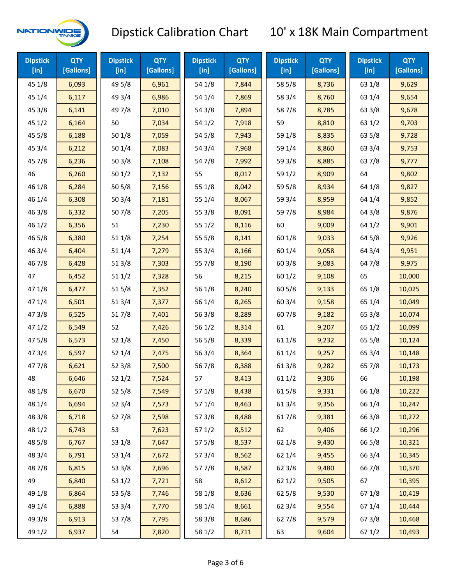

| <b>Dipstick</b><br>$[$ in] | <b>QTY</b><br>[Gallons] | <b>Dipstick</b><br>$[$ in] | <b>QTY</b><br>[Gallons] | <b>Dipstick</b><br>$[$ in] | <b>QTY</b><br>[Gallons] | <b>Dipstick</b><br>$[$ in] | <b>QTY</b><br>[Gallons] | <b>Dipstick</b><br>[in] | <b>QTY</b><br>[Gallons] |
|----------------------------|-------------------------|----------------------------|-------------------------|----------------------------|-------------------------|----------------------------|-------------------------|-------------------------|-------------------------|
| 45 1/8                     | 6,093                   | 49 5/8                     | 6,961                   | 54 1/8                     | 7,844                   | 58 5/8                     | 8,736                   | 63 1/8                  | 9,629                   |
| 45 1/4                     | 6,117                   | 49 3/4                     | 6,986                   | 54 1/4                     | 7,869                   | 58 3/4                     | 8,760                   | 63 1/4                  | 9,654                   |
| 45 3/8                     | 6,141                   | 49 7/8                     | 7,010                   | 54 3/8                     | 7,894                   | 587/8                      | 8,785                   | 63 3/8                  | 9,678                   |
| 451/2                      | 6,164                   | 50                         | 7,034                   | 54 1/2                     | 7,918                   | 59                         | 8,810                   | 63 1/2                  | 9,703                   |
| 45 5/8                     | 6,188                   | 50 1/8                     | 7,059                   | 54 5/8                     | 7,943                   | 59 1/8                     | 8,835                   | 63 5/8                  | 9,728                   |
| 45 3/4                     | 6,212                   | 50 1/4                     | 7,083                   | 54 3/4                     | 7,968                   | 59 1/4                     | 8,860                   | 63 3/4                  | 9,753                   |
| 45 7/8                     | 6,236                   | 503/8                      | 7,108                   | 54 7/8                     | 7,992                   | 59 3/8                     | 8,885                   | 637/8                   | 9,777                   |
| 46                         | 6,260                   | 501/2                      | 7,132                   | 55                         | 8,017                   | 59 1/2                     | 8,909                   | 64                      | 9,802                   |
| 46 1/8                     | 6,284                   | 50 5/8                     | 7,156                   | 55 1/8                     | 8,042                   | 59 5/8                     | 8,934                   | 64 1/8                  | 9,827                   |
| 46 1/4                     | 6,308                   | 50 3/4                     | 7,181                   | 55 1/4                     | 8,067                   | 59 3/4                     | 8,959                   | 64 1/4                  | 9,852                   |
| 463/8                      | 6,332                   | 507/8                      | 7,205                   | 55 3/8                     | 8,091                   | 59 7/8                     | 8,984                   | 64 3/8                  | 9,876                   |
| 46 1/2                     | 6,356                   | 51                         | 7,230                   | 55 1/2                     | 8,116                   | 60                         | 9,009                   | 64 1/2                  | 9,901                   |
| 46 5/8                     | 6,380                   | 51 1/8                     | 7,254                   | 55 5/8                     | 8,141                   | 60 1/8                     | 9,033                   | 64 5/8                  | 9,926                   |
| 46 3/4                     | 6,404                   | 51 1/4                     | 7,279                   | 55 3/4                     | 8,166                   | 60 1/4                     | 9,058                   | 64 3/4                  | 9,951                   |
| 46 7/8                     | 6,428                   | 513/8                      | 7,303                   | 55 7/8                     | 8,190                   | 60 3/8                     | 9,083                   | 64 7/8                  | 9,975                   |
| 47                         | 6,452                   | 51 1/2                     | 7,328                   | 56                         | 8,215                   | 601/2                      | 9,108                   | 65                      | 10,000                  |
| 47 1/8                     | 6,477                   | 515/8                      | 7,352                   | 56 1/8                     | 8,240                   | 60 5/8                     | 9,133                   | 65 1/8                  | 10,025                  |
| 47 1/4                     | 6,501                   | 51 3/4                     | 7,377                   | 56 1/4                     | 8,265                   | 60 3/4                     | 9,158                   | 65 1/4                  | 10,049                  |
| 47 3/8                     | 6,525                   | 517/8                      | 7,401                   | 563/8                      | 8,289                   | 60 7/8                     | 9,182                   | 65 3/8                  | 10,074                  |
| 471/2                      | 6,549                   | 52                         | 7,426                   | 56 1/2                     | 8,314                   | 61                         | 9,207                   | 65 1/2                  | 10,099                  |
| 475/8                      | 6,573                   | 52 1/8                     | 7,450                   | 56 5/8                     | 8,339                   | 61 1/8                     | 9,232                   | 65 5/8                  | 10,124                  |
| 47 3/4                     | 6,597                   | 52 1/4                     | 7,475                   | 56 3/4                     | 8,364                   | 61 1/4                     | 9,257                   | 65 3/4                  | 10,148                  |
| 47 7/8                     | 6,621                   | 52 3/8                     | 7,500                   | 567/8                      | 8,388                   | 61 3/8                     | 9,282                   | 65 7/8                  | 10,173                  |
| 48                         | 6,646                   | 521/2                      | 7,524                   | 57                         | 8,413                   | 611/2                      | 9,306                   | 66                      | 10,198                  |
| 48 1/8                     | 6,670                   | 52 5/8                     | 7,549                   | 57 1/8                     | 8,438                   | 615/8                      | 9,331                   | 66 1/8                  | 10,222                  |
| 48 1/4                     | 6,694                   | 52 3/4                     | 7,573                   | 57 1/4                     | 8,463                   | 613/4                      | 9,356                   | 66 1/4                  | 10,247                  |
| 48 3/8                     | 6,718                   | 527/8                      | 7,598                   | 57 3/8                     | 8,488                   | 617/8                      | 9,381                   | 66 3/8                  | 10,272                  |
| 48 1/2                     | 6,743                   | 53                         | 7,623                   | 57 1/2                     | 8,512                   | 62                         | 9,406                   | 66 1/2                  | 10,296                  |
| 48 5/8                     | 6,767                   | 53 1/8                     | 7,647                   | 57 5/8                     | 8,537                   | 62 1/8                     | 9,430                   | 66 5/8                  | 10,321                  |
| 48 3/4                     | 6,791                   | 53 1/4                     | 7,672                   | 573/4                      | 8,562                   | 62 1/4                     | 9,455                   | 66 3/4                  | 10,345                  |
| 487/8                      | 6,815                   | 53 3/8                     | 7,696                   | 577/8                      | 8,587                   | 62 3/8                     | 9,480                   | 667/8                   | 10,370                  |
| 49                         | 6,840                   | 53 1/2                     | 7,721                   | 58                         | 8,612                   | 621/2                      | 9,505                   | 67                      | 10,395                  |
| 49 1/8                     | 6,864                   | 53 5/8                     | 7,746                   | 58 1/8                     | 8,636                   | 62 5/8                     | 9,530                   | 671/8                   | 10,419                  |
| 49 1/4                     | 6,888                   | 53 3/4                     | 7,770                   | 58 1/4                     | 8,661                   | 62 3/4                     | 9,554                   | 671/4                   | 10,444                  |
| 49 3/8                     | 6,913                   | 537/8                      | 7,795                   | 58 3/8                     | 8,686                   | 627/8                      | 9,579                   | 673/8                   | 10,468                  |
| 49 1/2                     | 6,937                   | 54                         | 7,820                   | 58 1/2                     | 8,711                   | 63                         | 9,604                   | 67 1/2                  | 10,493                  |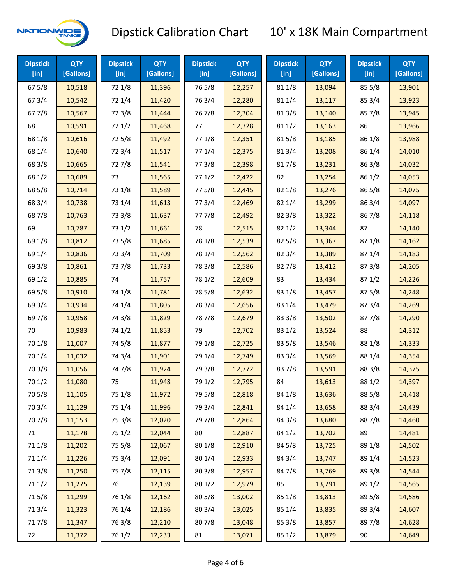

| <b>Dipstick</b><br>$[$ in] | <b>QTY</b><br>[Gallons] | <b>Dipstick</b><br>$[$ in] | <b>QTY</b><br>[Gallons] | <b>Dipstick</b><br>$[$ in] | <b>QTY</b><br>[Gallons] | <b>Dipstick</b><br>$[$ in] | <b>QTY</b><br>[Gallons] | <b>Dipstick</b><br>[in] | <b>QTY</b><br>[Gallons] |
|----------------------------|-------------------------|----------------------------|-------------------------|----------------------------|-------------------------|----------------------------|-------------------------|-------------------------|-------------------------|
| 67 5/8                     | 10,518                  | 72 1/8                     | 11,396                  | 765/8                      | 12,257                  | 81 1/8                     | 13,094                  | 85 5/8                  | 13,901                  |
| 67 3/4                     | 10,542                  | 72 1/4                     | 11,420                  | 763/4                      | 12,280                  | 81 1/4                     | 13,117                  | 85 3/4                  | 13,923                  |
| 677/8                      | 10,567                  | 72 3/8                     | 11,444                  | 767/8                      | 12,304                  | 81 3/8                     | 13,140                  | 857/8                   | 13,945                  |
| 68                         | 10,591                  | 72 1/2                     | 11,468                  | 77                         | 12,328                  | 81 1/2                     | 13,163                  | 86                      | 13,966                  |
| 68 1/8                     | 10,616                  | 725/8                      | 11,492                  | 77 1/8                     | 12,351                  | 815/8                      | 13,185                  | 86 1/8                  | 13,988                  |
| 68 1/4                     | 10,640                  | 72 3/4                     | 11,517                  | 77 1/4                     | 12,375                  | 813/4                      | 13,208                  | 86 1/4                  | 14,010                  |
| 68 3/8                     | 10,665                  | 727/8                      | 11,541                  | 77 3/8                     | 12,398                  | 817/8                      | 13,231                  | 86 3/8                  | 14,032                  |
| 68 1/2                     | 10,689                  | 73                         | 11,565                  | 771/2                      | 12,422                  | 82                         | 13,254                  | 86 1/2                  | 14,053                  |
| 68 5/8                     | 10,714                  | 73 1/8                     | 11,589                  | 775/8                      | 12,445                  | 82 1/8                     | 13,276                  | 86 5/8                  | 14,075                  |
| 68 3/4                     | 10,738                  | 73 1/4                     | 11,613                  | 773/4                      | 12,469                  | 82 1/4                     | 13,299                  | 86 3/4                  | 14,097                  |
| 687/8                      | 10,763                  | 73 3/8                     | 11,637                  | 777/8                      | 12,492                  | 823/8                      | 13,322                  | 867/8                   | 14,118                  |
| 69                         | 10,787                  | 73 1/2                     | 11,661                  | 78                         | 12,515                  | 821/2                      | 13,344                  | 87                      | 14,140                  |
| 69 1/8                     | 10,812                  | 73 5/8                     | 11,685                  | 78 1/8                     | 12,539                  | 825/8                      | 13,367                  | 871/8                   | 14,162                  |
| 69 1/4                     | 10,836                  | 73 3/4                     | 11,709                  | 78 1/4                     | 12,562                  | 82 3/4                     | 13,389                  | 871/4                   | 14,183                  |
| 69 3/8                     | 10,861                  | 737/8                      | 11,733                  | 78 3/8                     | 12,586                  | 827/8                      | 13,412                  | 87 3/8                  | 14,205                  |
| 69 1/2                     | 10,885                  | 74                         | 11,757                  | 78 1/2                     | 12,609                  | 83                         | 13,434                  | 871/2                   | 14,226                  |
| 69 5/8                     | 10,910                  | 74 1/8                     | 11,781                  | 78 5/8                     | 12,632                  | 83 1/8                     | 13,457                  | 875/8                   | 14,248                  |
| 69 3/4                     | 10,934                  | 74 1/4                     | 11,805                  | 78 3/4                     | 12,656                  | 83 1/4                     | 13,479                  | 87 3/4                  | 14,269                  |
| 697/8                      | 10,958                  | 74 3/8                     | 11,829                  | 787/8                      | 12,679                  | 83 3/8                     | 13,502                  | 877/8                   | 14,290                  |
| 70                         | 10,983                  | 74 1/2                     | 11,853                  | 79                         | 12,702                  | 83 1/2                     | 13,524                  | 88                      | 14,312                  |
| 70 1/8                     | 11,007                  | 74 5/8                     | 11,877                  | 79 1/8                     | 12,725                  | 83 5/8                     | 13,546                  | 88 1/8                  | 14,333                  |
| 70 1/4                     | 11,032                  | 74 3/4                     | 11,901                  | 79 1/4                     | 12,749                  | 83 3/4                     | 13,569                  | 88 1/4                  | 14,354                  |
| 70 3/8                     | 11,056                  | 747/8                      | 11,924                  | 79 3/8                     | 12,772                  | 837/8                      | 13,591                  | 88 3/8                  | 14,375                  |
| 70 1/2                     | 11,080                  | 75                         | 11,948                  | 79 1/2                     | 12,795                  | 84                         | 13,613                  | 88 1/2                  | 14,397                  |
| 70 5/8                     | 11,105                  | 75 1/8                     | 11,972                  | 79 5/8                     | 12,818                  | 84 1/8                     | 13,636                  | 88 5/8                  | 14,418                  |
| 70 3/4                     | 11,129                  | 75 1/4                     | 11,996                  | 79 3/4                     | 12,841                  | 84 1/4                     | 13,658                  | 88 3/4                  | 14,439                  |
| 70 7/8                     | 11,153                  | 75 3/8                     | 12,020                  | 79 7/8                     | 12,864                  | 84 3/8                     | 13,680                  | 887/8                   | 14,460                  |
| 71                         | 11,178                  | 75 1/2                     | 12,044                  | 80                         | 12,887                  | 84 1/2                     | 13,702                  | 89                      | 14,481                  |
| 71 1/8                     | 11,202                  | 75 5/8                     | 12,067                  | 80 1/8                     | 12,910                  | 84 5/8                     | 13,725                  | 89 1/8                  | 14,502                  |
| 71 1/4                     | 11,226                  | 75 3/4                     | 12,091                  | 80 1/4                     | 12,933                  | 84 3/4                     | 13,747                  | 89 1/4                  | 14,523                  |
| 713/8                      | 11,250                  | 75 7/8                     | 12,115                  | 80 3/8                     | 12,957                  | 847/8                      | 13,769                  | 89 3/8                  | 14,544                  |
| 71 1/2                     | 11,275                  | 76                         | 12,139                  | 80 1/2                     | 12,979                  | 85                         | 13,791                  | 89 1/2                  | 14,565                  |
| 715/8                      | 11,299                  | 76 1/8                     | 12,162                  | 80 5/8                     | 13,002                  | 85 1/8                     | 13,813                  | 89 5/8                  | 14,586                  |
| 713/4                      | 11,323                  | 76 1/4                     | 12,186                  | 80 3/4                     | 13,025                  | 85 1/4                     | 13,835                  | 89 3/4                  | 14,607                  |
| 717/8                      | 11,347                  | 763/8                      | 12,210                  | 807/8                      | 13,048                  | 85 3/8                     | 13,857                  | 897/8                   | 14,628                  |
| 72                         | 11,372                  | 76 1/2                     | 12,233                  | 81                         | 13,071                  | 85 1/2                     | 13,879                  | 90                      | 14,649                  |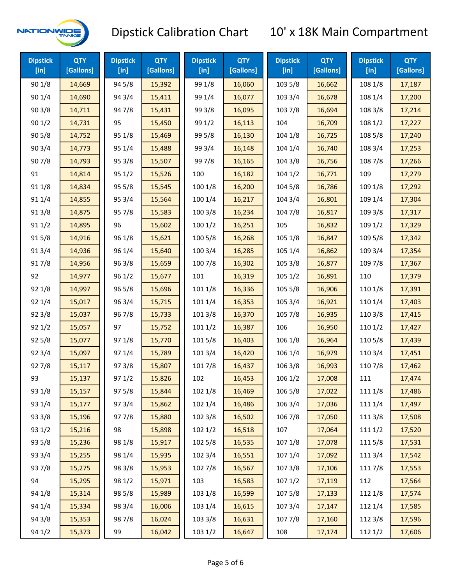

| <b>Dipstick</b><br>[in] | <b>QTY</b><br>[Gallons] | <b>Dipstick</b><br>[in] | <b>QTY</b><br>[Gallons] | <b>Dipstick</b><br>$[$ in] | <b>QTY</b><br>[Gallons] | <b>Dipstick</b><br>$[$ in] | <b>QTY</b><br>[Gallons] | <b>Dipstick</b><br>[in] | <b>QTY</b><br>[Gallons] |
|-------------------------|-------------------------|-------------------------|-------------------------|----------------------------|-------------------------|----------------------------|-------------------------|-------------------------|-------------------------|
| 90 1/8                  | 14,669                  | 94 5/8                  | 15,392                  | 99 1/8                     | 16,060                  | 103 5/8                    | 16,662                  | 108 1/8                 | 17,187                  |
| 90 1/4                  | 14,690                  | 94 3/4                  | 15,411                  | 99 1/4                     | 16,077                  | 103 3/4                    | 16,678                  | 108 1/4                 | 17,200                  |
| 90 3/8                  | 14,711                  | 947/8                   | 15,431                  | 99 3/8                     | 16,095                  | 103 7/8                    | 16,694                  | 108 3/8                 | 17,214                  |
| 901/2                   | 14,731                  | 95                      | 15,450                  | 99 1/2                     | 16,113                  | 104                        | 16,709                  | 108 1/2                 | 17,227                  |
| 90 5/8                  | 14,752                  | 95 1/8                  | 15,469                  | 99 5/8                     | 16,130                  | 104 1/8                    | 16,725                  | 108 5/8                 | 17,240                  |
| 90 3/4                  | 14,773                  | 95 1/4                  | 15,488                  | 99 3/4                     | 16,148                  | 104 1/4                    | 16,740                  | 108 3/4                 | 17,253                  |
| 907/8                   | 14,793                  | 95 3/8                  | 15,507                  | 997/8                      | 16,165                  | 104 3/8                    | 16,756                  | 108 7/8                 | 17,266                  |
| 91                      | 14,814                  | 95 1/2                  | 15,526                  | 100                        | 16,182                  | 1041/2                     | 16,771                  | 109                     | 17,279                  |
| 91 1/8                  | 14,834                  | 95 5/8                  | 15,545                  | 100 1/8                    | 16,200                  | 104 5/8                    | 16,786                  | 109 1/8                 | 17,292                  |
| 91 1/4                  | 14,855                  | 95 3/4                  | 15,564                  | 100 1/4                    | 16,217                  | 104 3/4                    | 16,801                  | 109 1/4                 | 17,304                  |
| 913/8                   | 14,875                  | 95 7/8                  | 15,583                  | 100 3/8                    | 16,234                  | 104 7/8                    | 16,817                  | 109 3/8                 | 17,317                  |
| 91 1/2                  | 14,895                  | 96                      | 15,602                  | 1001/2                     | 16,251                  | 105                        | 16,832                  | 109 1/2                 | 17,329                  |
| 915/8                   | 14,916                  | 96 1/8                  | 15,621                  | 100 5/8                    | 16,268                  | 105 1/8                    | 16,847                  | 109 5/8                 | 17,342                  |
| 913/4                   | 14,936                  | 96 1/4                  | 15,640                  | 100 3/4                    | 16,285                  | 105 1/4                    | 16,862                  | 109 3/4                 | 17,354                  |
| 917/8                   | 14,956                  | 96 3/8                  | 15,659                  | 100 7/8                    | 16,302                  | 105 3/8                    | 16,877                  | 109 7/8                 | 17,367                  |
| 92                      | 14,977                  | 96 1/2                  | 15,677                  | 101                        | 16,319                  | 105 1/2                    | 16,891                  | 110                     | 17,379                  |
| 92 1/8                  | 14,997                  | 96 5/8                  | 15,696                  | 101 1/8                    | 16,336                  | 105 5/8                    | 16,906                  | 110 1/8                 | 17,391                  |
| 92 1/4                  | 15,017                  | 96 3/4                  | 15,715                  | 101 1/4                    | 16,353                  | 105 3/4                    | 16,921                  | 110 1/4                 | 17,403                  |
| 92 3/8                  | 15,037                  | 967/8                   | 15,733                  | 101 3/8                    | 16,370                  | 105 7/8                    | 16,935                  | 110 3/8                 | 17,415                  |
| 921/2                   | 15,057                  | 97                      | 15,752                  | 1011/2                     | 16,387                  | 106                        | 16,950                  | 1101/2                  | 17,427                  |
| 92 5/8                  | 15,077                  | 97 1/8                  | 15,770                  | 101 5/8                    | 16,403                  | 106 1/8                    | 16,964                  | 110 5/8                 | 17,439                  |
| 92 3/4                  | 15,097                  | 97 1/4                  | 15,789                  | 101 3/4                    | 16,420                  | 106 1/4                    | 16,979                  | 110 3/4                 | 17,451                  |
| 927/8                   | 15,117                  | 973/8                   | 15,807                  | 101 7/8                    | 16,437                  | 106 3/8                    | 16,993                  | 110 7/8                 | 17,462                  |
| 93                      | 15,137                  | 971/2                   | 15,826                  | 102                        | 16,453                  | 106 1/2                    | 17,008                  | 111                     | 17,474                  |
| 93 1/8                  | 15,157                  | 97 5/8                  | 15,844                  | 102 1/8                    | 16,469                  | 106 5/8                    | 17,022                  | 111 1/8                 | 17,486                  |
| 93 1/4                  | 15,177                  | 973/4                   | 15,862                  | 102 1/4                    | 16,486                  | 106 3/4                    | 17,036                  | 111 1/4                 | 17,497                  |
| 93 3/8                  | 15,196                  | 977/8                   | 15,880                  | 102 3/8                    | 16,502                  | 106 7/8                    | 17,050                  | 111 3/8                 | 17,508                  |
| 93 1/2                  | 15,216                  | 98                      | 15,898                  | 1021/2                     | 16,518                  | 107                        | 17,064                  | 1111/2                  | 17,520                  |
| 93 5/8                  | 15,236                  | 98 1/8                  | 15,917                  | 102 5/8                    | 16,535                  | 107 1/8                    | 17,078                  | 1115/8                  | 17,531                  |
| 93 3/4                  | 15,255                  | 98 1/4                  | 15,935                  | 102 3/4                    | 16,551                  | 107 1/4                    | 17,092                  | 111 3/4                 | 17,542                  |
| 937/8                   | 15,275                  | 98 3/8                  | 15,953                  | 102 7/8                    | 16,567                  | 1073/8                     | 17,106                  | 111 7/8                 | 17,553                  |
| 94                      | 15,295                  | 98 1/2                  | 15,971                  | 103                        | 16,583                  | 1071/2                     | 17,119                  | 112                     | 17,564                  |
| 94 1/8                  | 15,314                  | 98 5/8                  | 15,989                  | 103 1/8                    | 16,599                  | 107 5/8                    | 17,133                  | 112 1/8                 | 17,574                  |
| 94 1/4                  | 15,334                  | 98 3/4                  | 16,006                  | 103 1/4                    | 16,615                  | 107 3/4                    | 17,147                  | 112 1/4                 | 17,585                  |
| 94 3/8                  | 15,353                  | 987/8                   | 16,024                  | 103 3/8                    | 16,631                  | 1077/8                     | 17,160                  | 112 3/8                 | 17,596                  |
| 94 1/2                  | 15,373                  | 99                      | 16,042                  | 103 1/2                    | 16,647                  | 108                        | 17,174                  | 112 1/2                 | 17,606                  |